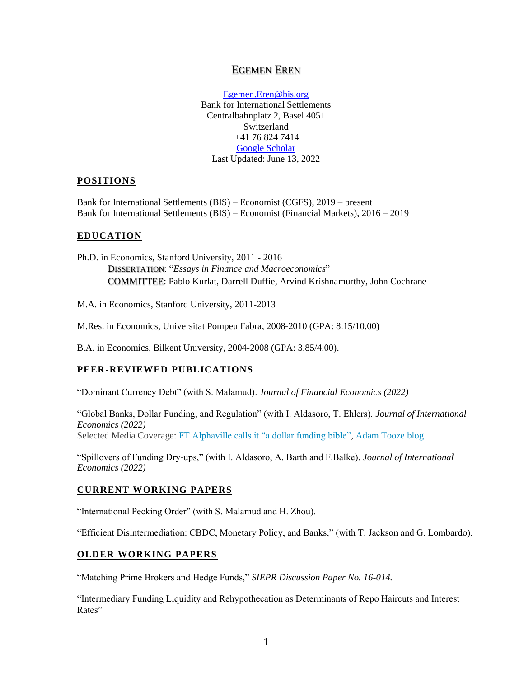# EGEMEN EREN

Egemen.Eren@bis.org Bank for International Settlements Centralbahnplatz 2, Basel 4051 Switzerland +41 76 824 7414 [Google Scholar](https://scholar.google.ch/citations?user=_YCIil8AAAAJ&hl=en&oi=ao) Last Updated: June 13, 2022

# **POSITIONS**

Bank for International Settlements (BIS) – Economist (CGFS), 2019 – present Bank for International Settlements (BIS) – Economist (Financial Markets), 2016 – 2019

# **EDUCATION**

Ph.D. in Economics, Stanford University, 2011 - 2016 DISSERTATION: "*Essays in Finance and Macroeconomics*" COMMITTEE: Pablo Kurlat, Darrell Duffie, Arvind Krishnamurthy, John Cochrane

M.A. in Economics, Stanford University, 2011-2013

M.Res. in Economics, Universitat Pompeu Fabra, 2008-2010 (GPA: 8.15/10.00)

B.A. in Economics, Bilkent University, 2004-2008 (GPA: 3.85/4.00).

# **PEER-REVIEWED PUBLICATIONS**

"Dominant Currency Debt" (with S. Malamud). *Journal of Financial Economics (2022)*

"Global Banks, Dollar Funding, and Regulation" (with I. Aldasoro, T. Ehlers). *Journal of International Economics (2022)* Selected Media Coverage: [FT Alphaville calls it "a dollar funding bible",](https://www.ft.com/content/1a05cf77-2128-4c95-a823-e2019a1de268) [Adam Tooze blog](https://adamtooze.com/2020/03/22/crashed-to-corona-1-the-dollar-shortage/)

"Spillovers of Funding Dry-ups," (with I. Aldasoro, A. Barth and F.Balke). *Journal of International Economics (2022)*

# **CURRENT WORKING PAPERS**

"International Pecking Order" (with S. Malamud and H. Zhou).

"Efficient Disintermediation: CBDC, Monetary Policy, and Banks," (with T. Jackson and G. Lombardo).

# **OLDER WORKING PAPERS**

"Matching Prime Brokers and Hedge Funds," *SIEPR Discussion Paper No. 16-014.*

"Intermediary Funding Liquidity and Rehypothecation as Determinants of Repo Haircuts and Interest Rates"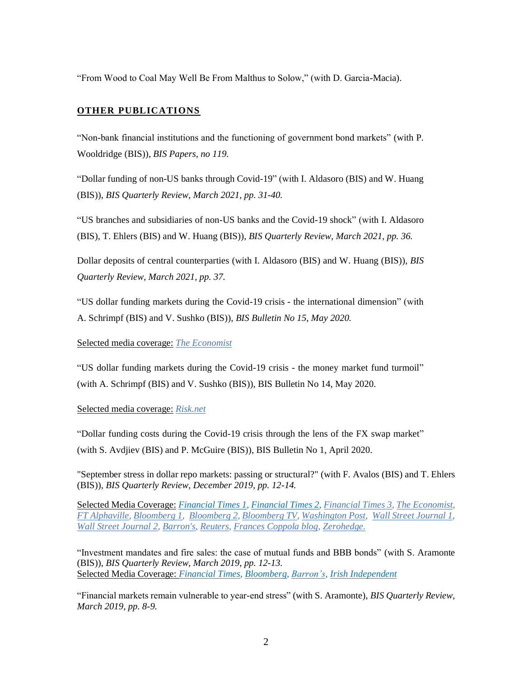"From Wood to Coal May Well Be From Malthus to Solow," (with D. Garcia-Macia).

# **OTHER PUBLICATIONS**

"Non-bank financial institutions and the functioning of government bond markets" (with P. Wooldridge (BIS)), *BIS Papers, no 119.*

["Dollar funding of non-US banks through Covid-19"](https://www.bis.org/publ/qtrpdf/r_qt2103c.pdf) (with I. Aldasoro (BIS) and W. Huang (BIS)), *BIS Quarterly Review, March 2021, pp. 31-40.*

["US branches and subsidiaries of non-US banks and the Covid-19 shock"](https://www.bis.org/publ/qtrpdf/r_qt2103y.htm) (with I. Aldasoro (BIS), T. Ehlers (BIS) and W. Huang (BIS)), *BIS Quarterly Review, March 2021, pp. 36.*

[Dollar deposits of central counterparties](https://www.bis.org/publ/qtrpdf/r_qt2103z.htm) (with I. Aldasoro (BIS) and W. Huang (BIS)), *BIS Quarterly Review, March 2021, pp. 37.*

["US dollar funding markets during the Covid-19 crisis -](https://www.bis.org/publ/bisbull15.pdf) the international dimension" (with A. Schrimpf (BIS) and V. Sushko (BIS)), *BIS Bulletin No 15, May 2020.*

## Selected media coverage: *[The Economist](https://www.economist.com/finance-and-economics/2020/06/20/the-successes-of-the-feds-dollar-swap-lines)*

["US dollar funding markets during the Covid-19 crisis -](https://www.bis.org/publ/bisbull14.pdf) the money market fund turmoil" (with A. Schrimpf (BIS) and V. Sushko (BIS)), BIS Bulletin No 14, May 2020.

#### Selected media coverage: *[Risk.net](https://www.risk.net/investing/regulation/7560446/investors-at-the-gates-mmf-reforms-fail-the-covid-test?utm_medium=email&utm_campaign=RN.Daily.DU.A.M-F0600&utm_source=RN.Daily&im_amfcid=7319648&im_amfmdf=39d34e08a958fc81d32c39a7838cd0af)*

["Dollar funding costs during the Covid-19 crisis through the lens of the FX swap market"](https://www.bis.org/publ/bisbull01.pdf) (with S. Avdjiev (BIS) and P. McGuire (BIS)), BIS Bulletin No 1, April 2020.

["September stress in dollar repo markets: passing or structural?"](https://www.bis.org/publ/qtrpdf/r_qt1912v.htm) (with F. Avalos (BIS) and T. Ehlers (BIS)), *BIS Quarterly Review, December 2019, pp. 12-14.*

Selected Media Coverage: *[Financial Times 1,](https://www.ft.com/content/2a23313a-1843-11ea-9ee4-11f260415385) [Financial Times 2,](https://www.ft.com/content/6427f16a-1d05-11ea-97df-cc63de1d73f4) [Financial Times 3,](https://www.ft.com/content/e5f1ebbb-2e7b-46cc-88ce-b0a1c48ea1ee) [The Economist,](https://www.economist.com/finance-and-economics/2019/12/18/despite-the-feds-efforts-the-repo-market-risks-more-turbulence) [FT Alphaville,](https://ftalphaville.ft.com/2019/12/12/1576161128000/A-summary-of-recent-repo-market-chatter--plus-a-chart-that-matters/) [Bloomberg 1,](https://www.bloomberg.com/news/articles/2019-12-08/repo-blowup-was-fueled-by-big-banks-and-hedge-funds-bis-says) [Bloomberg 2,](https://www.bloomberg.com/news/articles/2019-12-10/repo-firepower-reduced-by-falling-cash-levels-at-big-u-s-banks) [Bloomberg TV,](https://www.youtube.com/watch?v=oinGTOGJgC0) [Washington Post,](https://www.washingtonpost.com/gdpr-consent/?destination=%2fbusiness%2fwhat-is-really-to-blame-for-the-repo-market-blowup%2f2019%2f12%2f09%2f38d68258-1a83-11ea-977a-15a6710ed6da_story.html%3f) [Wall Street Journal 1,](https://www.youtube.com/watch?v=oinGTOGJgC0) [Wall Street Journal 2,](https://www.wsj.com/articles/hedge-funds-could-make-one-potential-fed-repo-market-fix-hard-to-stomach-11578997801) [Barron's,](https://www.barrons.com/articles/repo-mess-reflects-structural-problems-global-regulators-say-51575918790) [Reuters,](https://www.reuters.com/article/us-markets-bis-fx/u-s-banks-reluctance-to-lend-cash-may-have-caused-repo-shock-bis-idUSKBN1YC0IQ) [Frances Coppola blog,](http://www.coppolacomment.com/2019/12/the-blind-federal-reserve.html) [Zerohedge.](https://www.zerohedge.com/markets/fed-was-suddenly-facing-multiple-ltcms-bis-offers-stunning-explanation-what-really-happened)*

["Investment mandates and fire sales: the case of mutual funds and BBB bonds"](https://www.bis.org/publ/qtrpdf/r_qt1903u.htm) (with S. Aramonte (BIS)), *BIS Quarterly Review, March 2019, pp. 12-13.* Selected Media Coverage: *[Financial Times,](https://www.ft.com/content/67aa14b2-3ea3-11e9-b896-fe36ec32aece) [Bloomberg,](https://www.bloomberg.com/opinion/articles/2019-03-05/bond-bulls-find-a-messiah-in-morgan-stanley) [Barron's,](https://www.barrons.com/articles/bonds-on-edge-of-junk-pose-fire-sale-risk-global-regulators-say-51551814368) [Irish Independent](https://www.independent.ie/business/world/central-bankers-bank-warns-of-danger-of-bonds-to-markets-37882762.html)*

["Financial markets remain vulnerable to year-end stress"](https://www.bis.org/publ/qtrpdf/r_qt1903t.htm) (with S. Aramonte), *BIS Quarterly Review, March 2019, pp. 8-9.*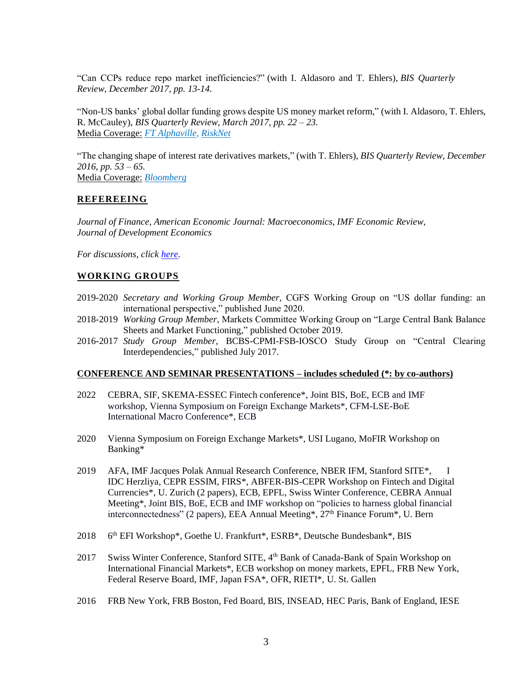["Can CCPs reduce repo market inefficiencies?"](https://www.bis.org/publ/qtrpdf/r_qt1712w.htm) (with I. Aldasoro and T. Ehlers), *BIS Quarterly Review, December 2017, pp. 13-14.*

"Non-US banks' global dollar funding grows despite US money market reform," (with I. Aldasoro, T. Ehlers, R. McCauley), *BIS Quarterly Review, March 2017, pp. 22 – 23.* Media Coverage: *[FT Alphaville,](https://ftalphaville.ft.com/2017/03/06/2185403/where-are-the-worlds-dollar-deposits-coming-from-embargoed-monday-noon/) [RiskNet](http://www.risk.net/regulation/3964801/dollar-deposit-mystery-highlights-non-us-bank-funding-risks)*

"The changing shape of interest rate derivatives markets," (with T. Ehlers), *BIS Quarterly Review, December 2016, pp. 53 – 65.* Media Coverage: *[Bloomberg](https://www.bloomberg.com/news/articles/2016-12-13/even-before-brexit-london-lost-its-status-as-derivatives-center)*

# **REFEREEING**

*Journal of Finance, American Economic Journal: Macroeconomics, IMF Economic Review, Journal of Development Economics*

*For discussions, click [here.](https://egemeneren.net/discussions/)*

# **WORKING GROUPS**

- 2019-2020 *Secretary and Working Group Member,* CGFS Working Group on "US dollar funding: an international perspective," published June 2020.
- 2018-2019 *Working Group Member*, Markets Committee Working Group on "Large Central Bank Balance Sheets and Market Functioning," published October 2019.
- 2016-2017 *Study Group Member*, BCBS-CPMI-FSB-IOSCO Study Group on "Central Clearing Interdependencies," published July 2017.

#### **CONFERENCE AND SEMINAR PRESENTATIONS – includes scheduled (\*: by co-authors)**

- 2022 CEBRA, SIF, SKEMA-ESSEC Fintech conference\*, Joint BIS, BoE, ECB and IMF workshop, Vienna Symposium on Foreign Exchange Markets\*, CFM-LSE-BoE International Macro Conference\*, ECB
- 2020 Vienna Symposium on Foreign Exchange Markets\*, USI Lugano, MoFIR Workshop on Banking\*
- 2019 AFA, IMF Jacques Polak Annual Research Conference, NBER IFM, Stanford SITE\*, I IDC Herzliya, CEPR ESSIM, FIRS\*, ABFER-BIS-CEPR Workshop on Fintech and Digital Currencies\*, U. Zurich (2 papers), ECB, EPFL, Swiss Winter Conference, CEBRA Annual Meeting\*, Joint BIS, BoE, ECB and IMF workshop on "policies to harness global financial interconnectedness" (2 papers), EEA Annual Meeting\*, 27<sup>th</sup> Finance Forum<sup>\*</sup>, U. Bern
- 2018 th EFI Workshop\*, Goethe U. Frankfurt\*, ESRB\*, Deutsche Bundesbank\*, BIS
- 2017 Swiss Winter Conference, Stanford SITE, 4<sup>th</sup> Bank of Canada-Bank of Spain Workshop on International Financial Markets\*, ECB workshop on money markets, EPFL, FRB New York, Federal Reserve Board, IMF, Japan FSA\*, OFR, RIETI\*, U. St. Gallen
- 2016 FRB New York, FRB Boston, Fed Board, BIS, INSEAD, HEC Paris, Bank of England, IESE